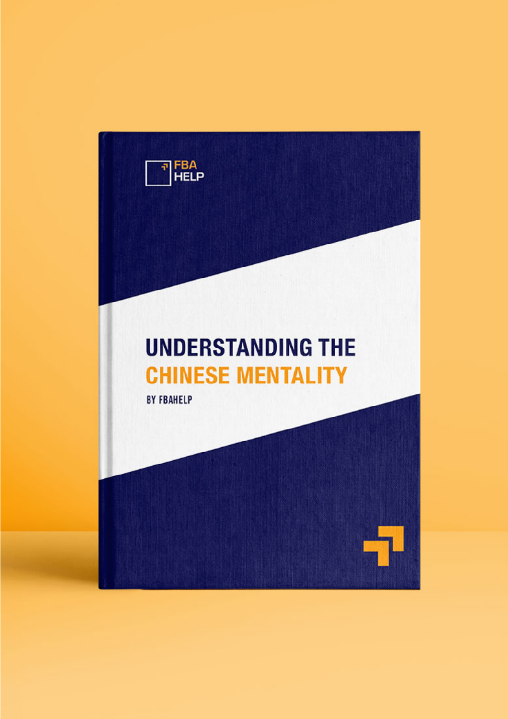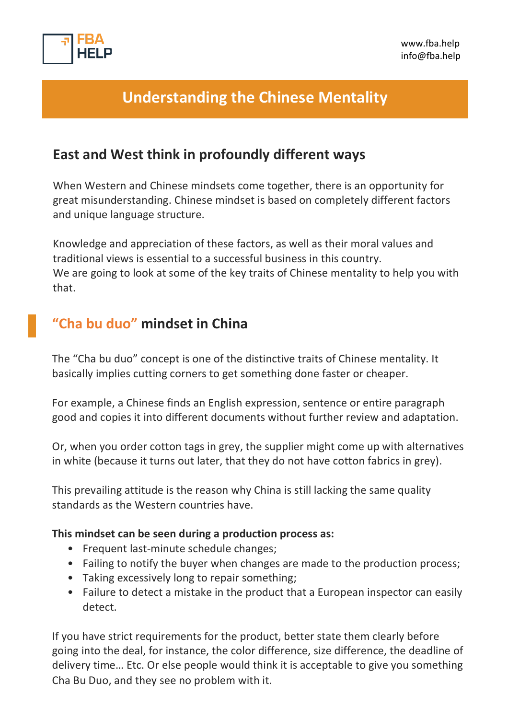

# **Understanding the Chinese Mentality**

### **East and West think in profoundly different ways**

When Western and Chinese mindsets come together, there is an opportunity for great misunderstanding. Chinese mindset is based on completely different factors and unique language structure.

Knowledge and appreciation of these factors, as well as their moral values and traditional views is essential to a successful business in this country. We are going to look at some of the key traits of Chinese mentality to help you with that.

### **"Cha bu duo" mindset in China**

The "Cha bu duo" concept is one of the distinctive traits of Chinese mentality. It basically implies cutting corners to get something done faster or cheaper.

For example, a Chinese finds an English expression, sentence or entire paragraph good and copies it into different documents without further review and adaptation.

Or, when you order cotton tags in grey, the supplier might come up with alternatives in white (because it turns out later, that they do not have cotton fabrics in grey).

This prevailing attitude is the reason why China is still lacking the same quality standards as the Western countries have.

#### **This mindset can be seen during a production process as:**

- Frequent last-minute schedule changes;
- Failing to notify the buyer when changes are made to the production process;
- Taking excessively long to repair something;
- Failure to detect a mistake in the product that a European inspector can easily detect.

If you have strict requirements for the product, better state them clearly before going into the deal, for instance, the color difference, size difference, the deadline of delivery time… Etc. Or else people would think it is acceptable to give you something Cha Bu Duo, and they see no problem with it.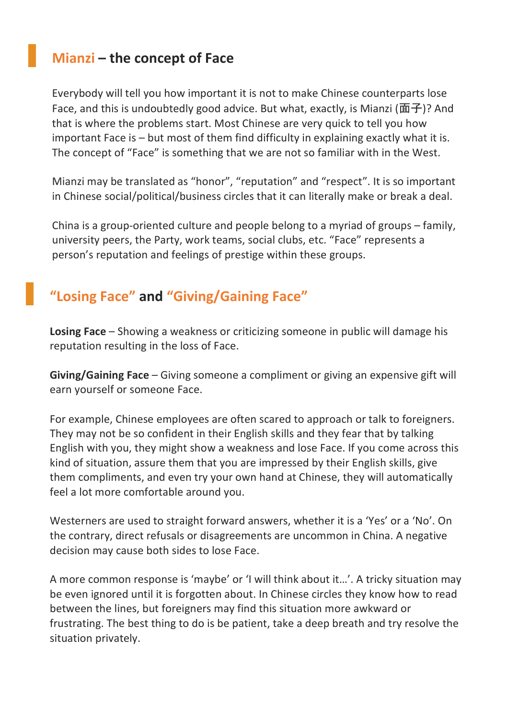## **Mianzi – the concept of Face**

Everybody will tell you how important it is not to make Chinese counterparts lose Face, and this is undoubtedly good advice. But what, exactly, is Mianzi (面子)? And that is where the problems start. Most Chinese are very quick to tell you how important Face is – but most of them find difficulty in explaining exactly what it is. The concept of "Face" is something that we are not so familiar with in the West.

Mianzi may be translated as "honor", "reputation" and "respect". It is so important in Chinese social/political/business circles that it can literally make or break a deal.

China is a group-oriented culture and people belong to a myriad of groups – family, university peers, the Party, work teams, social clubs, etc. "Face" represents a person's reputation and feelings of prestige within these groups.

# **"Losing Face" and "Giving/Gaining Face"**

**Losing Face** – Showing a weakness or criticizing someone in public will damage his reputation resulting in the loss of Face.

**Giving/Gaining Face** – Giving someone a compliment or giving an expensive gift will earn yourself or someone Face.

For example, Chinese employees are often scared to approach or talk to foreigners. They may not be so confident in their English skills and they fear that by talking English with you, they might show a weakness and lose Face. If you come across this kind of situation, assure them that you are impressed by their English skills, give them compliments, and even try your own hand at Chinese, they will automatically feel a lot more comfortable around you.

Westerners are used to straight forward answers, whether it is a 'Yes' or a 'No'. On the contrary, direct refusals or disagreements are uncommon in China. A negative decision may cause both sides to lose Face.

A more common response is 'maybe' or 'I will think about it…'. A tricky situation may be even ignored until it is forgotten about. In Chinese circles they know how to read between the lines, but foreigners may find this situation more awkward or frustrating. The best thing to do is be patient, take a deep breath and try resolve the situation privately.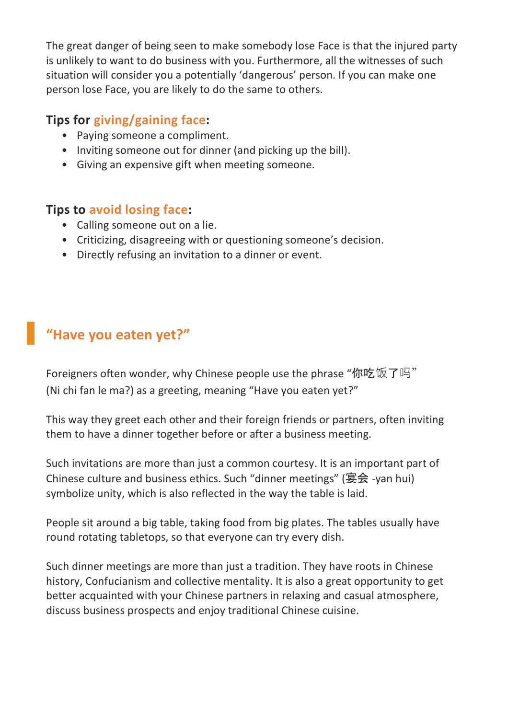The great danger of being seen to make somebody lose Face is that the injured party is unlikely to want to do business with you. Furthermore, all the witnesses of such situation will consider you a potentially 'dangerous' person. If you can make one person lose Face, you are likely to do the same to others.

### **Tips for giving/gaining face:**

- Paying someone a compliment.
- Inviting someone out for dinner (and picking up the bill).
- Giving an expensive gift when meeting someone.

#### **Tips to avoid losing face:**

- Calling someone out on a lie.
- Criticizing, disagreeing with or questioning someone's decision.
- Directly refusing an invitation to a dinner or event.

# **"Have you eaten yet?"**

Foreigners often wonder, why Chinese people use the phrase "你吃饭了吗" (Ni chi fan le ma?) as a greeting, meaning "Have you eaten yet?"

This way they greet each other and their foreign friends or partners, often inviting them to have a dinner together before or after a business meeting.

Such invitations are more than just a common courtesy. It is an important part of Chinese culture and business ethics. Such "dinner meetings" (宴会 -yan hui) symbolize unity, which is also reflected in the way the table is laid.

People sit around a big table, taking food from big plates. The tables usually have round rotating tabletops, so that everyone can try every dish.

Such dinner meetings are more than just a tradition. They have roots in Chinese history, Confucianism and collective mentality. It is also a great opportunity to get better acquainted with your Chinese partners in relaxing and casual atmosphere, discuss business prospects and enjoy traditional Chinese cuisine.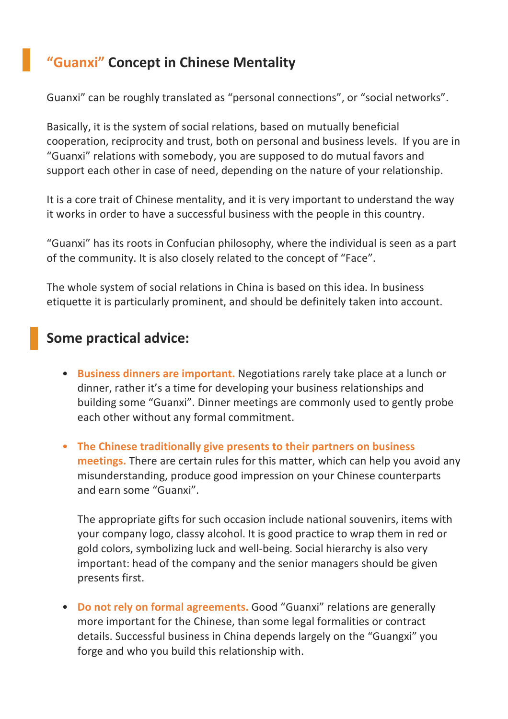# **"Guanxi" Concept in Chinese Mentality**

Guanxi" can be roughly translated as "personal connections", or "social networks".

Basically, it is the system of social relations, based on mutually beneficial cooperation, reciprocity and trust, both on personal and business levels. If you are in "Guanxi" relations with somebody, you are supposed to do mutual favors and support each other in case of need, depending on the nature of your relationship.

It is a core trait of Chinese mentality, and it is very important to understand the way it works in order to have a successful business with the people in this country.

"Guanxi" has its roots in Confucian philosophy, where the individual is seen as a part of the community. It is also closely related to the concept of "Face".

The whole system of social relations in China is based on this idea. In business etiquette it is particularly prominent, and should be definitely taken into account.

## **Some practical advice:**

- **Business dinners are important.** Negotiations rarely take place at a lunch or dinner, rather it's a time for developing your business relationships and building some "Guanxi". Dinner meetings are commonly used to gently probe each other without any formal commitment.
- **The Chinese traditionally give presents to their partners on business meetings.** There are certain rules for this matter, which can help you avoid any misunderstanding, produce good impression on your Chinese counterparts and earn some "Guanxi".

The appropriate gifts for such occasion include national souvenirs, items with your company logo, classy alcohol. It is good practice to wrap them in red or gold colors, symbolizing luck and well-being. Social hierarchy is also very important: head of the company and the senior managers should be given presents first.

• **Do not rely on formal agreements.** Good "Guanxi" relations are generally more important for the Chinese, than some legal formalities or contract details. Successful business in China depends largely on the "Guangxi" you forge and who you build this relationship with.